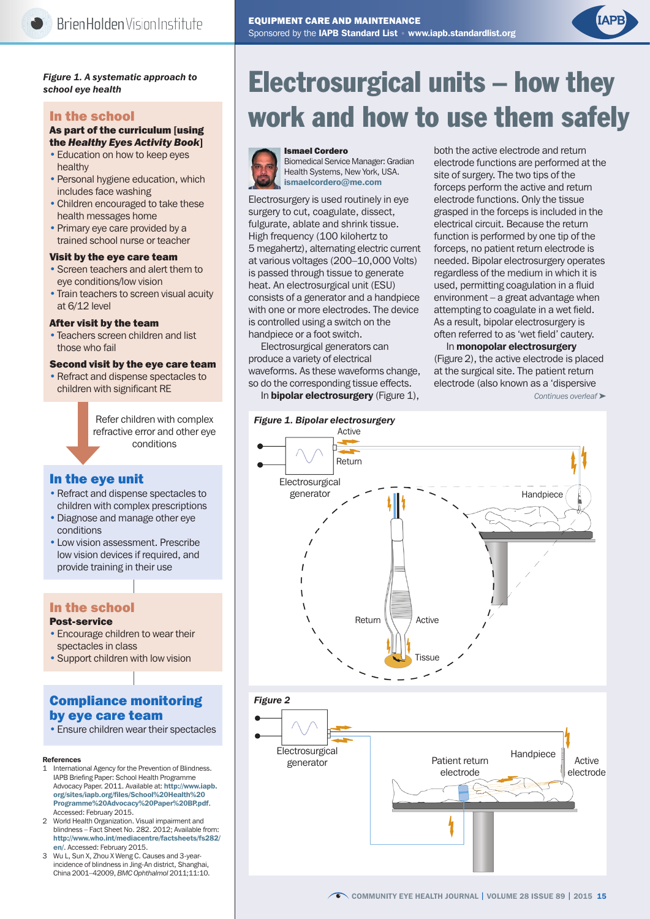

#### *Figure 1. A systematic approach to school eye health*

#### In the school

#### As part of the curriculum [using the *Healthy Eyes Activity Book*]

- Education on how to keep eyes healthy
- Personal hygiene education, which includes face washing
- Children encouraged to take these health messages home
- Primary eye care provided by a trained school nurse or teacher

#### Visit by the eye care team

- Screen teachers and alert them to eye conditions/low vision
- Train teachers to screen visual acuity at 6/12 level

#### After visit by the team

• Teachers screen children and list those who fail

#### Second visit by the eye care team

• Refract and dispense spectacles to children with significant RE

> Refer children with complex refractive error and other eye conditions

#### In the eye unit

- Refract and dispense spectacles to children with complex prescriptions
- •Diagnose and manage other eye conditions
- Low vision assessment. Prescribe low vision devices if required, and provide training in their use

## In the school

#### Post-service

- Encourage children to wear their spectacles in class
- Support children with low vision

## Compliance monitoring by eye care team

• Ensure children wear their spectacles

#### References

- International Agency for the Prevention of Blindness. IAPB Briefing Paper: School Health Programme Advocacy Paper. 2011. Available at: [http://www.iapb.](http://www.iapb.org/sites/iapb.org/files/School%20Health%20Programme%20Advocacy%20Paper%20BP.pdf) [org/sites/iapb.org/files/School%20Health%20](http://www.iapb.org/sites/iapb.org/files/School%20Health%20Programme%20Advocacy%20Paper%20BP.pdf) [Programme%20Advocacy%20Paper%20BP.pdf](http://www.iapb.org/sites/iapb.org/files/School%20Health%20Programme%20Advocacy%20Paper%20BP.pdf). Accessed: February 2015.
- 2 World Health Organization. Visual impairment and blindness – Fact Sheet No. 282. 2012; Available from: [http://www.who.int/mediacentre/factsheets/fs282/](http://www.who.int/mediacentre/factsheets/fs282/en/) [en/](http://www.who.int/mediacentre/factsheets/fs282/en/). Accessed: February 2015.
- Wu L, Sun X, Zhou X Weng C. Causes and 3-yearincidence of blindness in Jing-An district, Shanghai, China 2001–42009, *BMC Ophthalmol* 2011;11:10.

# Electrosurgical units – how they work and how to use them safely



Ismael Cordero

Electrosurgery is used routinely in eye surgery to cut, coagulate, dissect. Biomedical Service Manager: Gradian Health Systems, New York, USA. ismaelcordero@me.com

fulgurate, ablate and shrink tissue. High frequency (100 kilohertz to 5 megahertz), alternating electric current at various voltages (200–10,000 Volts) is passed through tissue to generate heat. An electrosurgical unit (ESU) consists of a generator and a handpiece with one or more electrodes. The device is controlled using a switch on the handpiece or a foot switch.

Electrosurgical generators can produce a variety of electrical waveforms. As these waveforms change, so do the corresponding tissue effects.

In **bipolar electrosurgery** (Figure 1),

both the active electrode and return electrode functions are performed at the site of surgery. The two tips of the forceps perform the active and return electrode functions. Only the tissue grasped in the forceps is included in the electrical circuit. Because the return function is performed by one tip of the forceps, no patient return electrode is needed. Bipolar electrosurgery operates regardless of the medium in which it is used, permitting coagulation in a fluid environment – a great advantage when attempting to coagulate in a wet field. As a result, bipolar electrosurgery is often referred to as 'wet field' cautery.

In monopolar electrosurgery (Figure 2), the active electrode is placed at the surgical site. The patient return electrode (also known as a 'dispersive

*Continues overleaf* ➤